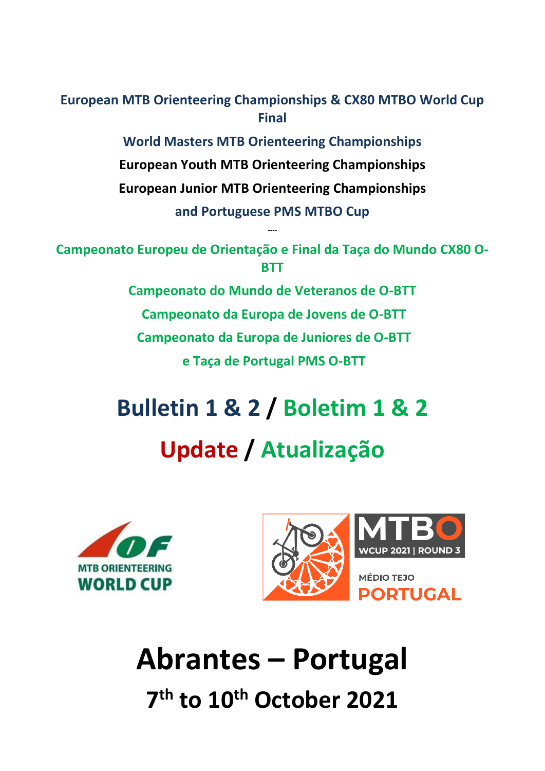**European MTB Orienteering Championships & CX80 MTBO World Cup Final**

> **World Masters MTB Orienteering Championships European Youth MTB Orienteering Championships European Junior MTB Orienteering Championships and Portuguese PMS MTBO Cup**

**Campeonato Europeu de Orientação e Final da Taça do Mundo CX80 O-BTT**

**----**

**Campeonato do Mundo de Veteranos de O-BTT Campeonato da Europa de Jovens de O-BTT Campeonato da Europa de Juniores de O-BTT e Taça de Portugal PMS O-BTT**

# **Bulletin 1 & 2 / Boletim 1 & 2 Update / Atualização**





# **Abrantes – Portugal 7 th to 10 th October 2021**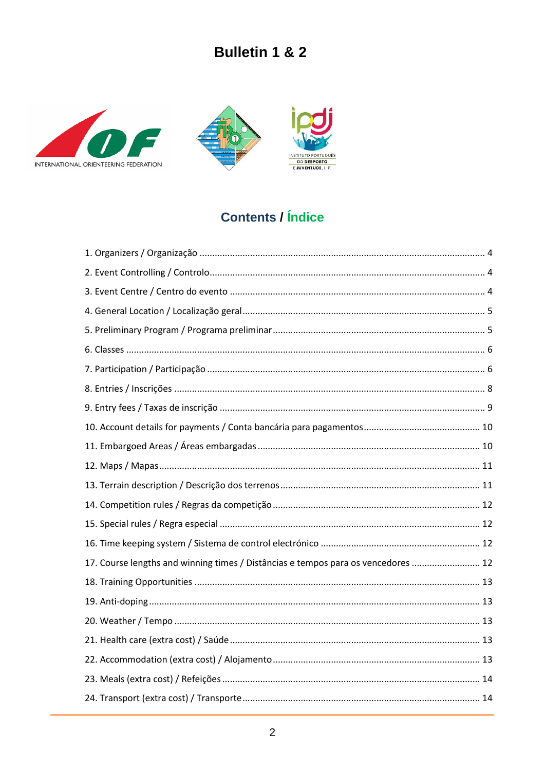





# **Contents / Índice**

| 17. Course lengths and winning times / Distâncias e tempos para os vencedores  12 |  |
|-----------------------------------------------------------------------------------|--|
|                                                                                   |  |
|                                                                                   |  |
|                                                                                   |  |
|                                                                                   |  |
|                                                                                   |  |
|                                                                                   |  |
|                                                                                   |  |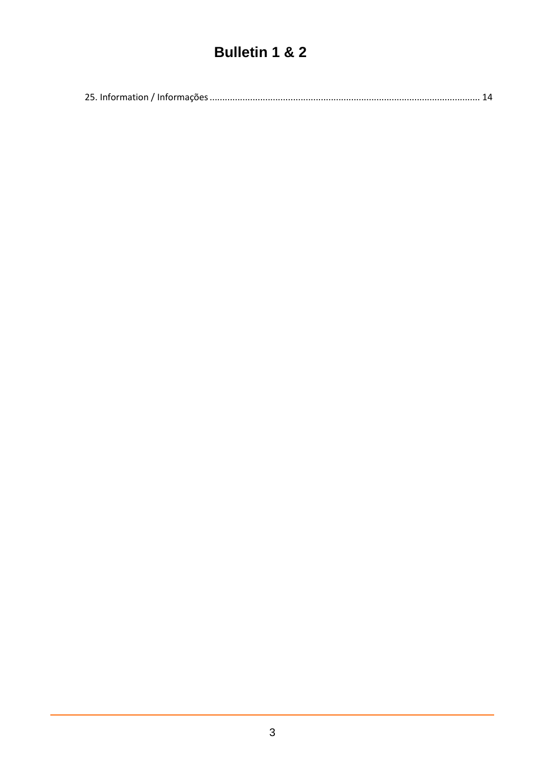|--|--|--|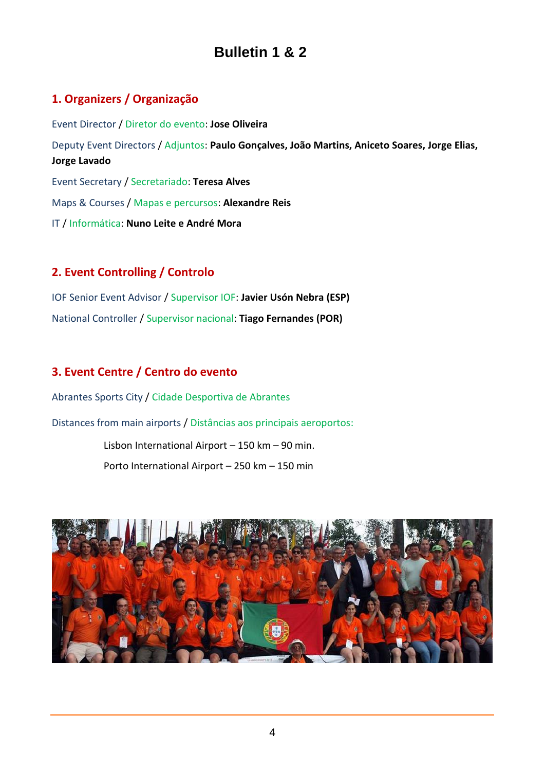# <span id="page-3-0"></span>**1. Organizers / Organização**

Event Director / Diretor do evento: **Jose Oliveira** Deputy Event Directors / Adjuntos: **Paulo Gonçalves, João Martins, Aniceto Soares, Jorge Elias, Jorge Lavado** Event Secretary / Secretariado: **Teresa Alves** Maps & Courses / Mapas e percursos: **Alexandre Reis** IT / Informática: **Nuno Leite e André Mora**

### <span id="page-3-1"></span>**2. Event Controlling / Controlo**

IOF Senior Event Advisor / Supervisor IOF: **Javier Usón Nebra (ESP)** National Controller / Supervisor nacional: **Tiago Fernandes (POR)**

### <span id="page-3-2"></span>**3. Event Centre / Centro do evento**

Abrantes Sports City / Cidade Desportiva de Abrantes

Distances from main airports / Distâncias aos principais aeroportos:

Lisbon International Airport – 150 km – 90 min. Porto International Airport – 250 km – 150 min

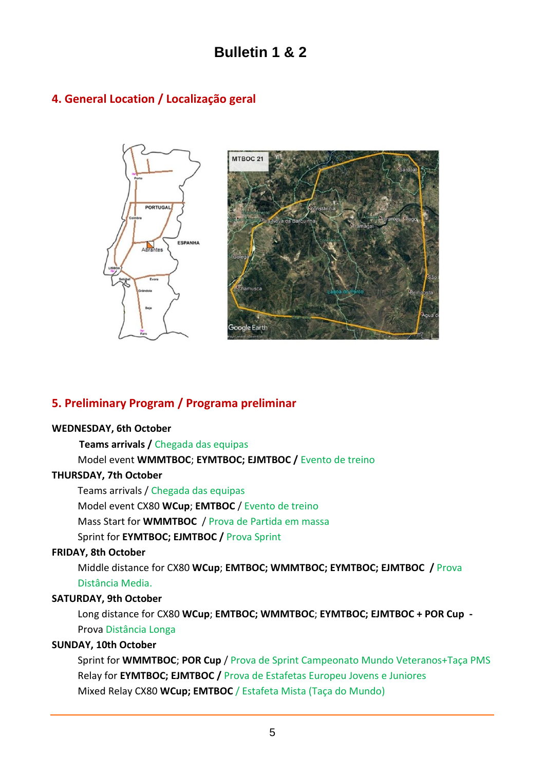# <span id="page-4-0"></span>**4. General Location / Localização geral**



### <span id="page-4-1"></span>**5. Preliminary Program / Programa preliminar**

#### **WEDNESDAY, 6th October**

 **Teams arrivals /** Chegada das equipas

Model event **WMMTBOC**; **EYMTBOC; EJMTBOC /** Evento de treino

#### **THURSDAY, 7th October**

Teams arrivals / Chegada das equipas Model event CX80 **WCup**; **EMTBOC** / Evento de treino Mass Start for **WMMTBOC** / Prova de Partida em massa Sprint for **EYMTBOC; EJMTBOC /** Prova Sprint

#### **FRIDAY, 8th October**

Middle distance for CX80 **WCup**; **EMTBOC; WMMTBOC; EYMTBOC; EJMTBOC /** Prova Distância Media.

#### **SATURDAY, 9th October**

Long distance for CX80 **WCup**; **EMTBOC; WMMTBOC**; **EYMTBOC; EJMTBOC + POR Cup -** Prova Distância Longa

#### **SUNDAY, 10th October**

Sprint for **WMMTBOC**; **POR Cup** / Prova de Sprint Campeonato Mundo Veteranos+Taça PMS Relay for **EYMTBOC; EJMTBOC /** Prova de Estafetas Europeu Jovens e Juniores Mixed Relay CX80 **WCup; EMTBOC** / Estafeta Mista (Taça do Mundo)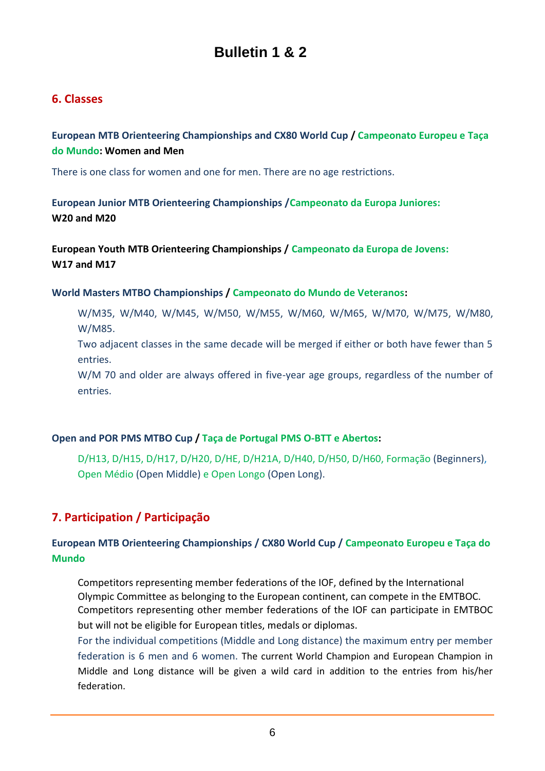### <span id="page-5-0"></span>**6. Classes**

**European MTB Orienteering Championships and CX80 World Cup / Campeonato Europeu e Taça do Mundo: Women and Men**

There is one class for women and one for men. There are no age restrictions.

**European Junior MTB Orienteering Championships /Campeonato da Europa Juniores: W20 and M20**

**European Youth MTB Orienteering Championships / Campeonato da Europa de Jovens: W17 and M17**

#### **World Masters MTBO Championships / Campeonato do Mundo de Veteranos:**

W/M35, W/M40, W/M45, W/M50, W/M55, W/M60, W/M65, W/M70, W/M75, W/M80, W/M85.

Two adjacent classes in the same decade will be merged if either or both have fewer than 5 entries.

W/M 70 and older are always offered in five-year age groups, regardless of the number of entries.

#### **Open and POR PMS MTBO Cup / Taça de Portugal PMS O-BTT e Abertos:**

D/H13, D/H15, D/H17, D/H20, D/HE, D/H21A, D/H40, D/H50, D/H60, Formação (Beginners), Open Médio (Open Middle) e Open Longo (Open Long).

# <span id="page-5-1"></span>**7. Participation / Participação**

#### **European MTB Orienteering Championships / CX80 World Cup / Campeonato Europeu e Taça do Mundo**

Competitors representing member federations of the IOF, defined by the International Olympic Committee as belonging to the European continent, can compete in the EMTBOC. Competitors representing other member federations of the IOF can participate in EMTBOC but will not be eligible for European titles, medals or diplomas.

For the individual competitions (Middle and Long distance) the maximum entry per member federation is 6 men and 6 women. The current World Champion and European Champion in Middle and Long distance will be given a wild card in addition to the entries from his/her federation.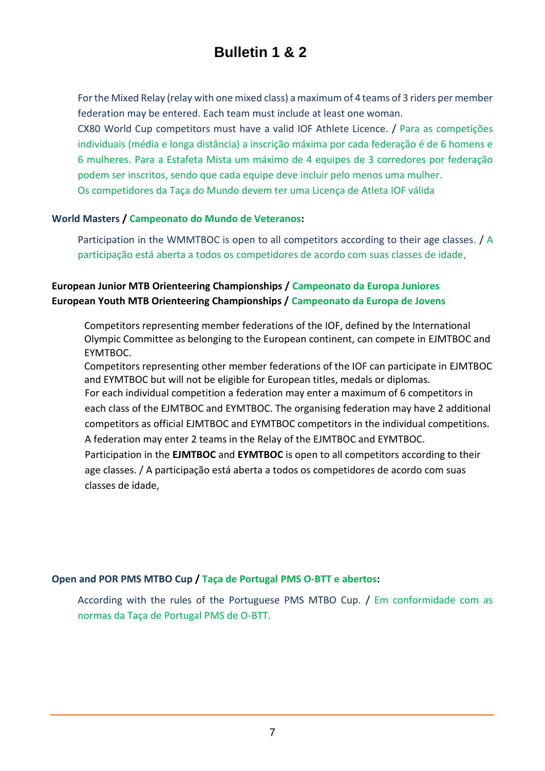For the Mixed Relay (relay with one mixed class) a maximum of 4 teams of 3 riders per member federation may be entered. Each team must include at least one woman.

CX80 World Cup competitors must have a valid IOF Athlete Licence. / Para as competições individuais (média e longa distância) a inscrição máxima por cada federação é de 6 homens e 6 mulheres. Para a Estafeta Mista um máximo de 4 equipes de 3 corredores por federação podem ser inscritos, sendo que cada equipe deve incluir pelo menos uma mulher. Os competidores da Taça do Mundo devem ter uma Licença de Atleta IOF válida

#### **World Masters / Campeonato do Mundo de Veteranos:**

Participation in the WMMTBOC is open to all competitors according to their age classes. / A participação está aberta a todos os competidores de acordo com suas classes de idade,

#### **European Junior MTB Orienteering Championships / Campeonato da Europa Juniores European Youth MTB Orienteering Championships / Campeonato da Europa de Jovens**

Competitors representing member federations of the IOF, defined by the International Olympic Committee as belonging to the European continent, can compete in EJMTBOC and EYMTBOC.

Competitors representing other member federations of the IOF can participate in EJMTBOC and EYMTBOC but will not be eligible for European titles, medals or diplomas.

For each individual competition a federation may enter a maximum of 6 competitors in each class of the EJMTBOC and EYMTBOC. The organising federation may have 2 additional competitors as official EJMTBOC and EYMTBOC competitors in the individual competitions. A federation may enter 2 teams in the Relay of the EJMTBOC and EYMTBOC.

Participation in the **EJMTBOC** and **EYMTBOC** is open to all competitors according to their age classes. / A participação está aberta a todos os competidores de acordo com suas classes de idade,

#### **Open and POR PMS MTBO Cup / Taça de Portugal PMS O-BTT e abertos:**

According with the rules of the Portuguese PMS MTBO Cup. / Em conformidade com as normas da Taça de Portugal PMS de O-BTT.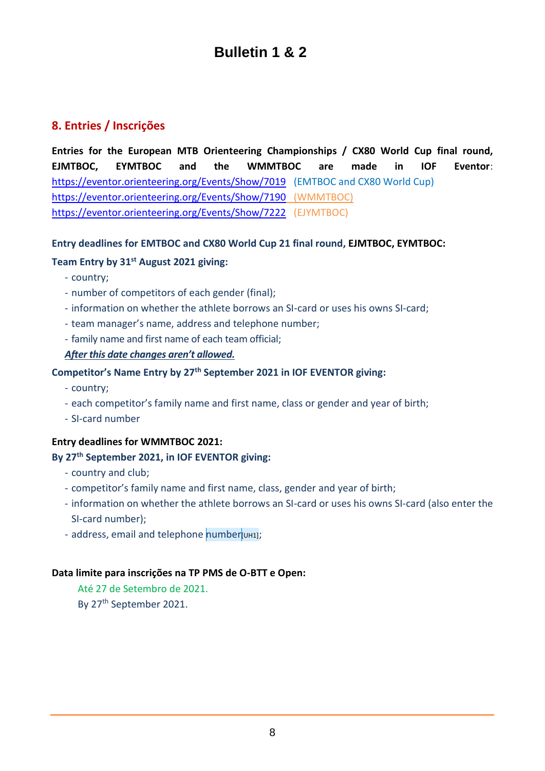### <span id="page-7-0"></span>**8. Entries / Inscrições**

**Entries for the European MTB Orienteering Championships / CX80 World Cup final round, EJMTBOC, EYMTBOC and the WMMTBOC are made in IOF Eventor**: <https://eventor.orienteering.org/Events/Show/7019> (EMTBOC and CX80 World Cup) <https://eventor.orienteering.org/Events/Show/7190> (WMMTBOC) <https://eventor.orienteering.org/Events/Show/7222>(EJYMTBOC)

#### **Entry deadlines for EMTBOC and CX80 World Cup 21 final round, EJMTBOC, EYMTBOC:**

#### **Team Entry by 31st August 2021 giving:**

- country;
- number of competitors of each gender (final);
- information on whether the athlete borrows an SI-card or uses his owns SI-card;
- team manager's name, address and telephone number;
- family name and first name of each team official;

#### *After this date changes aren't allowed.*

#### **Competitor's Name Entry by 27th September 2021 in IOF EVENTOR giving:**

- country;
- each competitor's family name and first name, class or gender and year of birth;
- SI-card number

#### **Entry deadlines for WMMTBOC 2021:**

#### **By 27th September 2021, in IOF EVENTOR giving:**

- country and club;
- competitor's family name and first name, class, gender and year of birth;
- information on whether the athlete borrows an SI-card or uses his owns SI-card (also enter the SI-card number);
- address, email and telephone number[UH1];

#### **Data limite para inscrições na TP PMS de O-BTT e Open:**

Até 27 de Setembro de 2021. By 27<sup>th</sup> September 2021.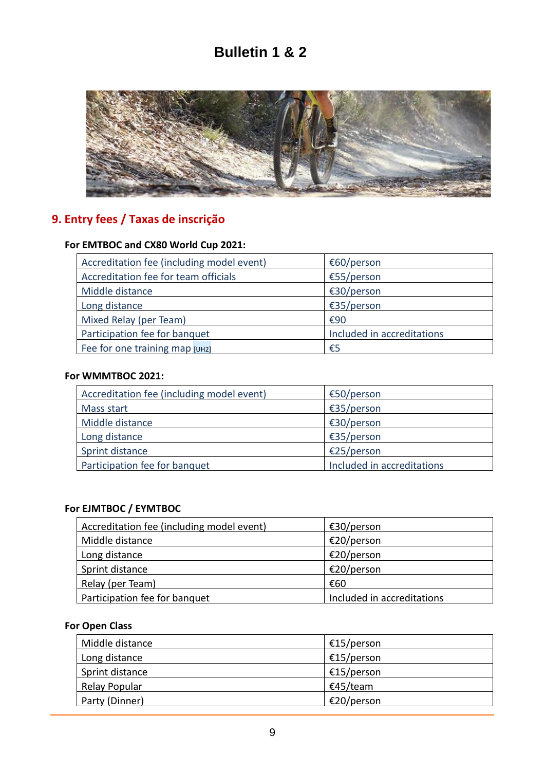

# <span id="page-8-0"></span>**9. Entry fees / Taxas de inscrição**

### **For EMTBOC and CX80 World Cup 2021:**

| Accreditation fee (including model event) | €60/person                 |
|-------------------------------------------|----------------------------|
| Accreditation fee for team officials      | €55/person                 |
| Middle distance                           | €30/person                 |
| Long distance                             | €35/person                 |
| Mixed Relay (per Team)                    | €90                        |
| Participation fee for banquet             | Included in accreditations |
| Fee for one training map [UH2]            | €5                         |

#### **For WMMTBOC 2021:**

| Accreditation fee (including model event) | €50/person                 |
|-------------------------------------------|----------------------------|
| Mass start                                | €35/person                 |
| Middle distance                           | €30/person                 |
| Long distance                             | €35/person                 |
| Sprint distance                           | €25/person                 |
| Participation fee for banquet             | Included in accreditations |

#### **For EJMTBOC / EYMTBOC**

| Accreditation fee (including model event) | €30/person                 |
|-------------------------------------------|----------------------------|
| Middle distance                           | €20/person                 |
| Long distance                             | €20/person                 |
| Sprint distance                           | €20/person                 |
| Relay (per Team)                          | €60                        |
| Participation fee for banquet             | Included in accreditations |

#### **For Open Class**

| Middle distance | €15/person |
|-----------------|------------|
| Long distance   | €15/person |
| Sprint distance | €15/person |
| Relay Popular   | €45/team   |
| Party (Dinner)  | €20/person |
|                 |            |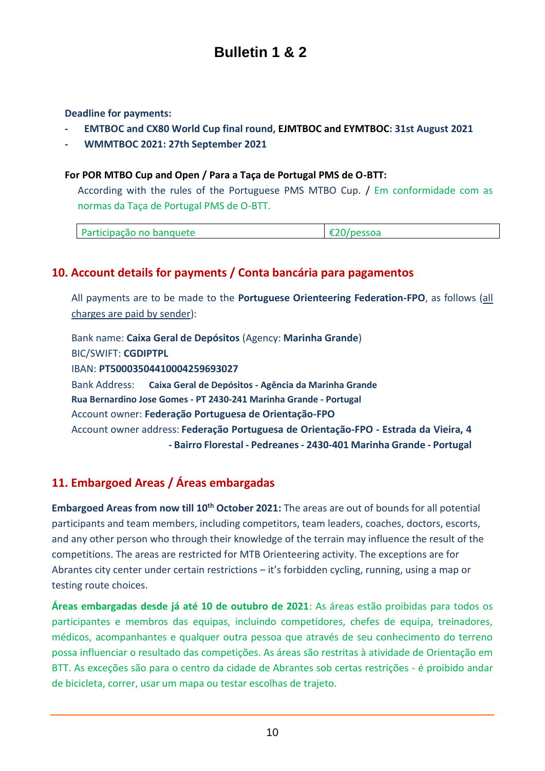**Deadline for payments:**

- **- EMTBOC and CX80 World Cup final round, EJMTBOC and EYMTBOC: 31st August 2021**
- **- WMMTBOC 2021: 27th September 2021**

#### **For POR MTBO Cup and Open / Para a Taça de Portugal PMS de O-BTT:**

According with the rules of the Portuguese PMS MTBO Cup. / Em conformidade com as normas da Taça de Portugal PMS de O-BTT.

| Participação no banquete | $\mathbf{a} \mathbf{a} \mathbf{a}$ |
|--------------------------|------------------------------------|
|--------------------------|------------------------------------|

#### <span id="page-9-0"></span>**10. Account details for payments / Conta bancária para pagamentos**

All payments are to be made to the **Portuguese Orienteering Federation-FPO**, as follows (all charges are paid by sender):

Bank name: **Caixa Geral de Depósitos** (Agency: **Marinha Grande**) BIC/SWIFT: **CGDIPTPL** IBAN: **PT50003504410004259693027** Bank Address: **Caixa Geral de Depósitos - Agência da Marinha Grande Rua Bernardino Jose Gomes - PT 2430-241 Marinha Grande - Portugal** Account owner: **Federação Portuguesa de Orientação-FPO** Account owner address: **Federação Portuguesa de Orientação-FPO - Estrada da Vieira, 4 - Bairro Florestal - Pedreanes - 2430-401 Marinha Grande - Portugal**

### <span id="page-9-1"></span>**11. Embargoed Areas / Áreas embargadas**

**Embargoed Areas from now till 10th October 2021:** The areas are out of bounds for all potential participants and team members, including competitors, team leaders, coaches, doctors, escorts, and any other person who through their knowledge of the terrain may influence the result of the competitions. The areas are restricted for MTB Orienteering activity. The exceptions are for Abrantes city center under certain restrictions – it's forbidden cycling, running, using a map or testing route choices.

**Áreas embargadas desde já até 10 de outubro de 2021**: As áreas estão proibidas para todos os participantes e membros das equipas, incluindo competidores, chefes de equipa, treinadores, médicos, acompanhantes e qualquer outra pessoa que através de seu conhecimento do terreno possa influenciar o resultado das competições. As áreas são restritas à atividade de Orientação em BTT. As exceções são para o centro da cidade de Abrantes sob certas restrições - é proibido andar de bicicleta, correr, usar um mapa ou testar escolhas de trajeto.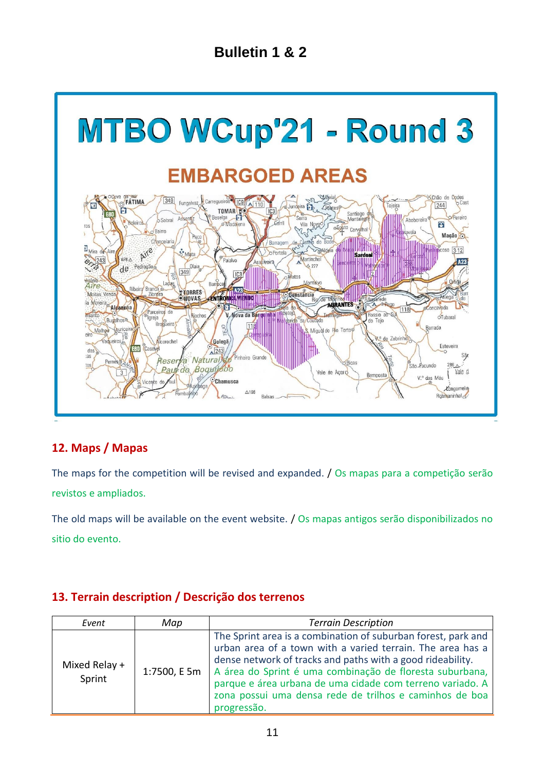

### <span id="page-10-0"></span>**12. Maps / Mapas**

The maps for the competition will be revised and expanded. / Os mapas para a competição serão revistos e ampliados.

The old maps will be available on the event website. / Os mapas antigos serão disponibilizados no sitio do evento.

### <span id="page-10-1"></span>**13. Terrain description / Descrição dos terrenos**

| Event                   | Map          | <b>Terrain Description</b>                                                                                                                                                                                                                                                                                                                                                                   |
|-------------------------|--------------|----------------------------------------------------------------------------------------------------------------------------------------------------------------------------------------------------------------------------------------------------------------------------------------------------------------------------------------------------------------------------------------------|
| Mixed Relay +<br>Sprint | 1:7500, E 5m | The Sprint area is a combination of suburban forest, park and<br>urban area of a town with a varied terrain. The area has a<br>dense network of tracks and paths with a good rideability.<br>A área do Sprint é uma combinação de floresta suburbana,<br>parque e área urbana de uma cidade com terreno variado. A<br>zona possui uma densa rede de trilhos e caminhos de boa<br>progressão. |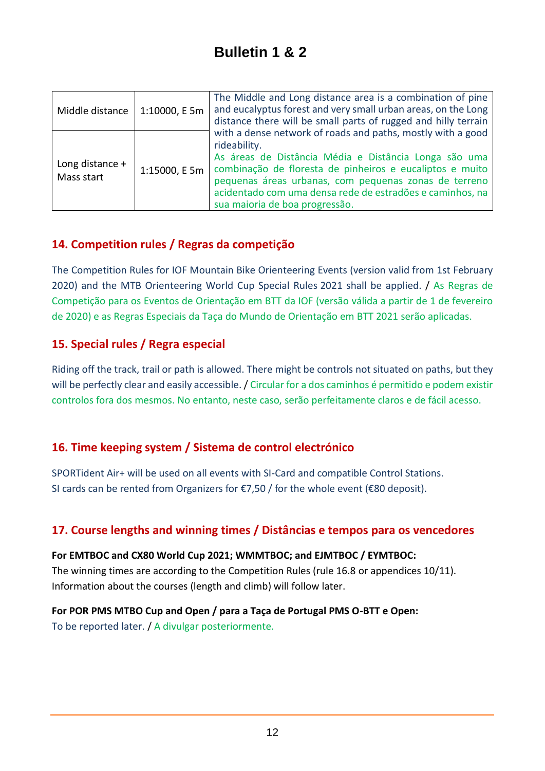| Middle distance               | 1:10000, E 5m | The Middle and Long distance area is a combination of pine<br>and eucalyptus forest and very small urban areas, on the Long<br>distance there will be small parts of rugged and hilly terrain<br>with a dense network of roads and paths, mostly with a good<br>rideability.<br>As áreas de Distância Média e Distância Longa são uma<br>combinação de floresta de pinheiros e eucaliptos e muito<br>pequenas áreas urbanas, com pequenas zonas de terreno<br>acidentado com uma densa rede de estradões e caminhos, na<br>sua maioria de boa progressão. |
|-------------------------------|---------------|-----------------------------------------------------------------------------------------------------------------------------------------------------------------------------------------------------------------------------------------------------------------------------------------------------------------------------------------------------------------------------------------------------------------------------------------------------------------------------------------------------------------------------------------------------------|
| Long distance +<br>Mass start | 1:15000, E 5m |                                                                                                                                                                                                                                                                                                                                                                                                                                                                                                                                                           |

# <span id="page-11-0"></span>**14. Competition rules / Regras da competição**

The Competition Rules for IOF Mountain Bike Orienteering Events (version valid from 1st February 2020) and the MTB Orienteering World Cup Special Rules 2021 shall be applied. / As Regras de Competição para os Eventos de Orientação em BTT da IOF (versão válida a partir de 1 de fevereiro de 2020) e as Regras Especiais da Taça do Mundo de Orientação em BTT 2021 serão aplicadas.

### <span id="page-11-1"></span>**15. Special rules / Regra especial**

Riding off the track, trail or path is allowed. There might be controls not situated on paths, but they will be perfectly clear and easily accessible. / Circular for a dos caminhos é permitido e podem existir controlos fora dos mesmos. No entanto, neste caso, serão perfeitamente claros e de fácil acesso.

# <span id="page-11-2"></span>**16. Time keeping system / Sistema de control electrónico**

SPORTident Air+ will be used on all events with SI-Card and compatible Control Stations. SI cards can be rented from Organizers for  $€7,50$  / for the whole event ( $€80$  deposit).

# <span id="page-11-3"></span>**17. Course lengths and winning times / Distâncias e tempos para os vencedores**

**For EMTBOC and CX80 World Cup 2021; WMMTBOC; and EJMTBOC / EYMTBOC:** The winning times are according to the Competition Rules (rule 16.8 or appendices 10/11). Information about the courses (length and climb) will follow later.

# **For POR PMS MTBO Cup and Open / para a Taça de Portugal PMS O-BTT e Open:**

To be reported later. / A divulgar posteriormente.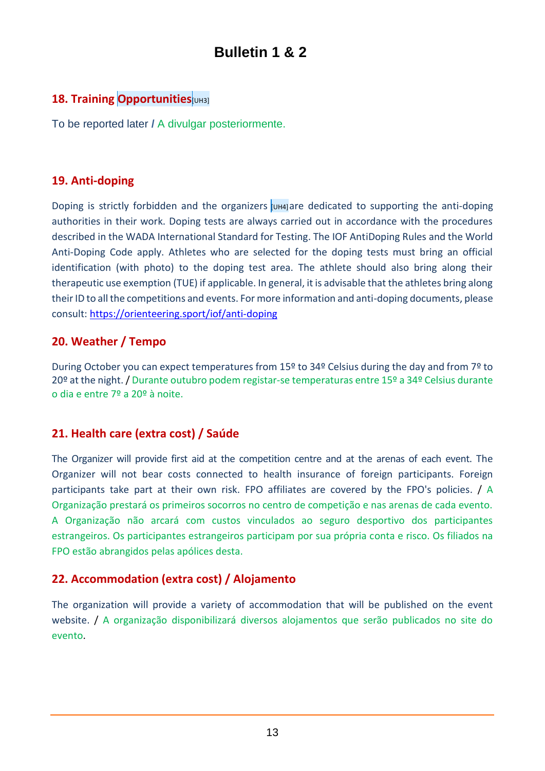# <span id="page-12-0"></span>**18. Training Opportunities**[UH3]

To be reported later **/** A divulgar posteriormente.

### <span id="page-12-1"></span>**19. Anti-doping**

Doping is strictly forbidden and the organizers usual are dedicated to supporting the anti-doping authorities in their work. Doping tests are always carried out in accordance with the procedures described in the WADA International Standard for Testing. The IOF AntiDoping Rules and the World Anti-Doping Code apply. Athletes who are selected for the doping tests must bring an official identification (with photo) to the doping test area. The athlete should also bring along their therapeutic use exemption (TUE) if applicable. In general, it is advisable that the athletes bring along their ID to all the competitions and events. For more information and anti-doping documents, please consult:<https://orienteering.sport/iof/anti-doping>

### <span id="page-12-2"></span>**20. Weather / Tempo**

During October you can expect temperatures from 15º to 34º Celsius during the day and from 7º to 20º at the night./ Durante outubro podem registar-se temperaturas entre 15º a 34º Celsius durante o dia e entre 7º a 20º à noite.

# <span id="page-12-3"></span>**21. Health care (extra cost) / Saúde**

The Organizer will provide first aid at the competition centre and at the arenas of each event. The Organizer will not bear costs connected to health insurance of foreign participants. Foreign participants take part at their own risk. FPO affiliates are covered by the FPO's policies. / A Organização prestará os primeiros socorros no centro de competição e nas arenas de cada evento. A Organização não arcará com custos vinculados ao seguro desportivo dos participantes estrangeiros. Os participantes estrangeiros participam por sua própria conta e risco. Os filiados na FPO estão abrangidos pelas apólices desta.

### <span id="page-12-4"></span>**22. Accommodation (extra cost) / Alojamento**

The organization will provide a variety of accommodation that will be published on the event website. / A organização disponibilizará diversos alojamentos que serão publicados no site do evento.